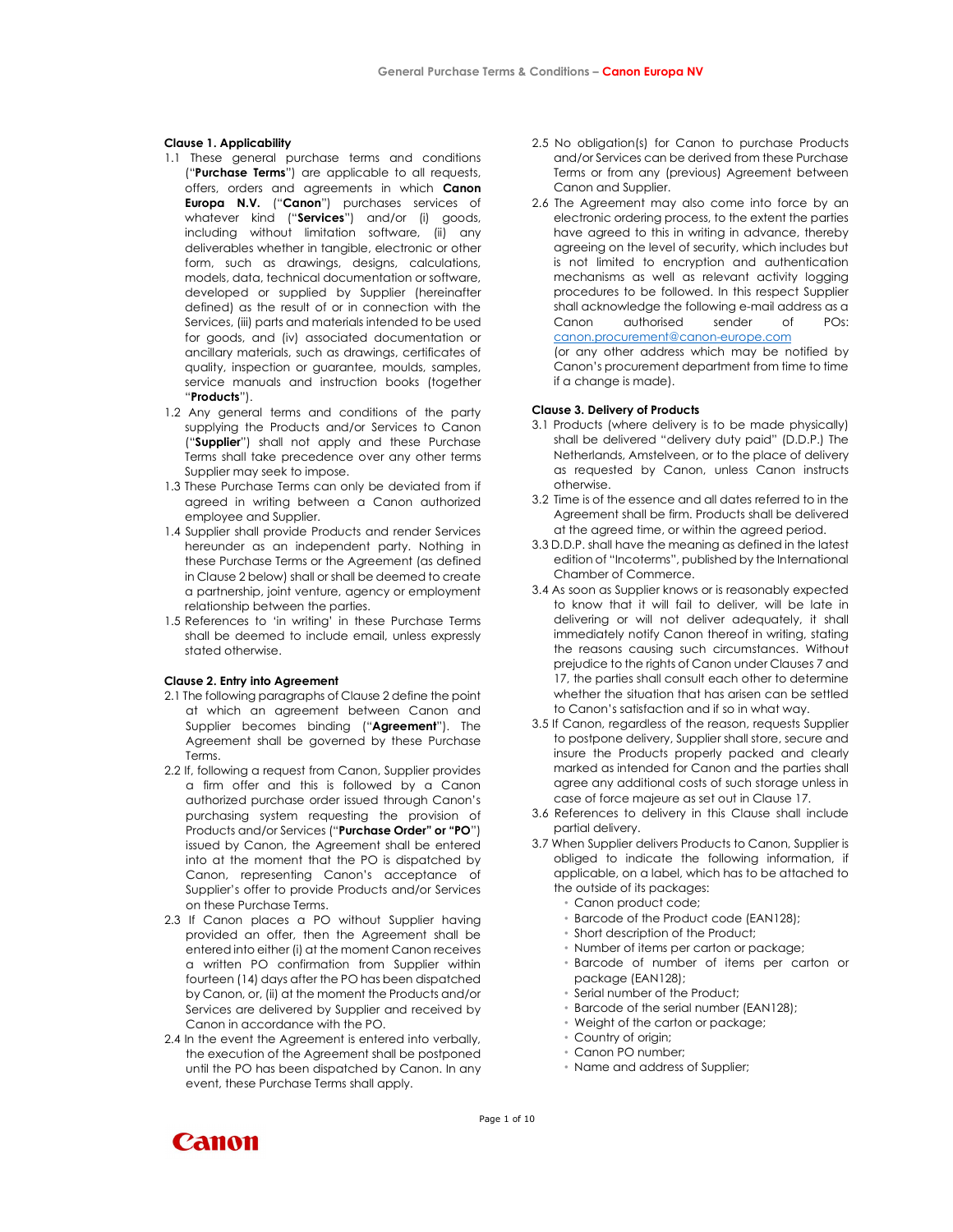## Clause 1. Applicability

- 1.1 These general purchase terms and conditions ("Purchase Terms") are applicable to all requests, offers, orders and agreements in which Canon Europa N.V. ("Canon") purchases services of whatever kind ("Services") and/or (i) goods, including without limitation software, (ii) any deliverables whether in tangible, electronic or other form, such as drawings, designs, calculations, models, data, technical documentation or software, developed or supplied by Supplier (hereinafter defined) as the result of or in connection with the Services, (iii) parts and materials intended to be used for goods, and (iv) associated documentation or ancillary materials, such as drawings, certificates of quality, inspection or guarantee, moulds, samples, service manuals and instruction books (together "Products").
- 1.2 Any general terms and conditions of the party supplying the Products and/or Services to Canon ("Supplier") shall not apply and these Purchase Terms shall take precedence over any other terms Supplier may seek to impose.
- 1.3 These Purchase Terms can only be deviated from if agreed in writing between a Canon authorized employee and Supplier.
- 1.4 Supplier shall provide Products and render Services hereunder as an independent party. Nothing in these Purchase Terms or the Agreement (as defined in Clause 2 below) shall or shall be deemed to create a partnership, joint venture, agency or employment relationship between the parties.
- 1.5 References to 'in writing' in these Purchase Terms shall be deemed to include email, unless expressly stated otherwise.

#### Clause 2. Entry into Agreement

- 2.1 The following paragraphs of Clause 2 define the point at which an agreement between Canon and Supplier becomes binding ("Agreement"). The Agreement shall be governed by these Purchase Terms.
- 2.2 If, following a request from Canon, Supplier provides a firm offer and this is followed by a Canon authorized purchase order issued through Canon's purchasing system requesting the provision of Products and/or Services ("Purchase Order" or "PO") issued by Canon, the Agreement shall be entered into at the moment that the PO is dispatched by Canon, representing Canon's acceptance of Supplier's offer to provide Products and/or Services on these Purchase Terms.
- 2.3 If Canon places a PO without Supplier having provided an offer, then the Agreement shall be entered into either (i) at the moment Canon receives a written PO confirmation from Supplier within fourteen (14) days after the PO has been dispatched by Canon, or, (ii) at the moment the Products and/or Services are delivered by Supplier and received by Canon in accordance with the PO.
- 2.4 In the event the Agreement is entered into verbally, the execution of the Agreement shall be postponed until the PO has been dispatched by Canon. In any event, these Purchase Terms shall apply.
- 2.5 No obligation(s) for Canon to purchase Products and/or Services can be derived from these Purchase Terms or from any (previous) Agreement between Canon and Supplier.
- 2.6 The Agreement may also come into force by an electronic ordering process, to the extent the parties have agreed to this in writing in advance, thereby agreeing on the level of security, which includes but is not limited to encryption and authentication mechanisms as well as relevant activity logging procedures to be followed. In this respect Supplier shall acknowledge the following e-mail address as a Canon authorised sender of POs: canon.procurement@canon-europe.com (or any other address which may be notified by

Canon's procurement department from time to time if a change is made).

## Clause 3. Delivery of Products

- 3.1 Products (where delivery is to be made physically) shall be delivered "delivery duty paid" (D.D.P.) The Netherlands, Amstelveen, or to the place of delivery as requested by Canon, unless Canon instructs otherwise.
- 3.2 Time is of the essence and all dates referred to in the Agreement shall be firm. Products shall be delivered at the agreed time, or within the agreed period.
- 3.3 D.D.P. shall have the meaning as defined in the latest edition of "Incoterms", published by the International Chamber of Commerce.
- 3.4 As soon as Supplier knows or is reasonably expected to know that it will fail to deliver, will be late in delivering or will not deliver adequately, it shall immediately notify Canon thereof in writing, stating the reasons causing such circumstances. Without prejudice to the rights of Canon under Clauses 7 and 17, the parties shall consult each other to determine whether the situation that has arisen can be settled to Canon's satisfaction and if so in what way.
- 3.5 If Canon, regardless of the reason, requests Supplier to postpone delivery, Supplier shall store, secure and insure the Products properly packed and clearly marked as intended for Canon and the parties shall agree any additional costs of such storage unless in case of force majeure as set out in Clause 17.
- 3.6 References to delivery in this Clause shall include partial delivery.
- 3.7 When Supplier delivers Products to Canon, Supplier is obliged to indicate the following information, if applicable, on a label, which has to be attached to the outside of its packages:
	- Canon product code;
	- Barcode of the Product code (EAN128);
	- Short description of the Product;
	- Number of items per carton or package;
	- Barcode of number of items per carton or package (EAN128);
	- Serial number of the Product;
	- Barcode of the serial number (EAN128);
	- Weight of the carton or package;
	- Country of origin;
	- Canon PO number;
	- Name and address of Supplier;



Page 1 of 10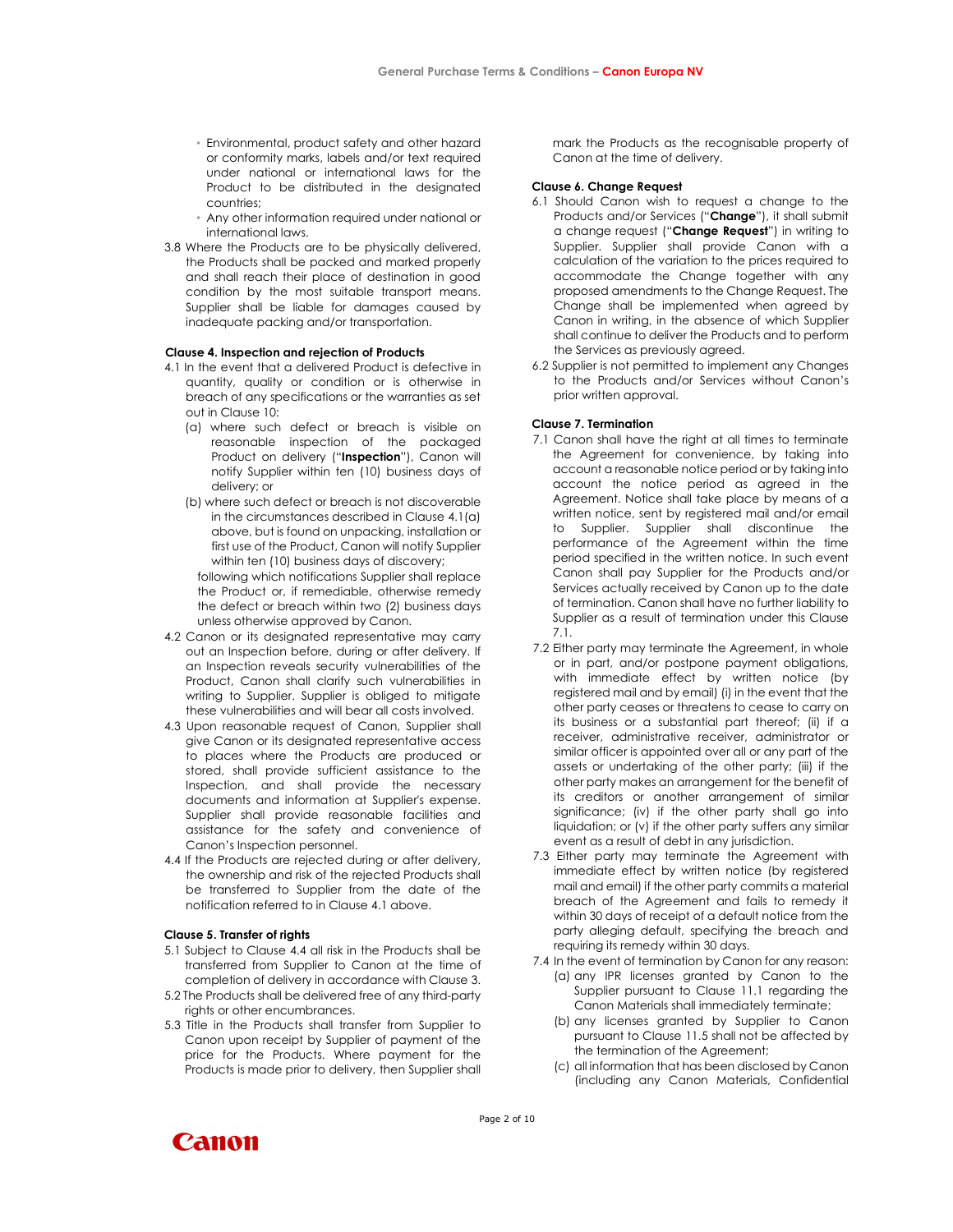- Environmental, product safety and other hazard or conformity marks, labels and/or text required under national or international laws for the Product to be distributed in the designated countries;
- Any other information required under national or international laws.
- 3.8 Where the Products are to be physically delivered, the Products shall be packed and marked properly and shall reach their place of destination in good condition by the most suitable transport means. Supplier shall be liable for damages caused by inadequate packing and/or transportation.

# Clause 4. Inspection and rejection of Products

- 4.1 In the event that a delivered Product is defective in quantity, quality or condition or is otherwise in breach of any specifications or the warranties as set out in Clause 10:
	- (a) where such defect or breach is visible on reasonable inspection of the packaged Product on delivery ("Inspection"), Canon will notify Supplier within ten (10) business days of delivery; or
	- (b) where such defect or breach is not discoverable in the circumstances described in Clause 4.1(a) above, but is found on unpacking, installation or first use of the Product, Canon will notify Supplier within ten (10) business days of discovery;

following which notifications Supplier shall replace the Product or, if remediable, otherwise remedy the defect or breach within two (2) business days unless otherwise approved by Canon.

- 4.2 Canon or its designated representative may carry out an Inspection before, during or after delivery. If an Inspection reveals security vulnerabilities of the Product, Canon shall clarify such vulnerabilities in writing to Supplier. Supplier is obliged to mitigate these vulnerabilities and will bear all costs involved.
- 4.3 Upon reasonable request of Canon, Supplier shall give Canon or its designated representative access to places where the Products are produced or stored, shall provide sufficient assistance to the Inspection, and shall provide the necessary documents and information at Supplier's expense. Supplier shall provide reasonable facilities and assistance for the safety and convenience of Canon's Inspection personnel.
- 4.4 If the Products are rejected during or after delivery, the ownership and risk of the rejected Products shall be transferred to Supplier from the date of the notification referred to in Clause 4.1 above.

#### Clause 5. Transfer of rights

- 5.1 Subject to Clause 4.4 all risk in the Products shall be transferred from Supplier to Canon at the time of completion of delivery in accordance with Clause 3.
- 5.2 The Products shall be delivered free of any third-party rights or other encumbrances.
- 5.3 Title in the Products shall transfer from Supplier to Canon upon receipt by Supplier of payment of the price for the Products. Where payment for the Products is made prior to delivery, then Supplier shall

mark the Products as the recognisable property of Canon at the time of delivery.

## Clause 6. Change Request

- 6.1 Should Canon wish to request a change to the Products and/or Services ("Change"), it shall submit a change request ("Change Request") in writing to Supplier. Supplier shall provide Canon with a calculation of the variation to the prices required to accommodate the Change together with any proposed amendments to the Change Request. The Change shall be implemented when agreed by Canon in writing, in the absence of which Supplier shall continue to deliver the Products and to perform the Services as previously agreed.
- 6.2 Supplier is not permitted to implement any Changes to the Products and/or Services without Canon's prior written approval.

## Clause 7. Termination

- 7.1 Canon shall have the right at all times to terminate the Agreement for convenience, by taking into account a reasonable notice period or by taking into account the notice period as agreed in the Agreement. Notice shall take place by means of a written notice, sent by registered mail and/or email to Supplier. Supplier shall discontinue the performance of the Agreement within the time period specified in the written notice. In such event Canon shall pay Supplier for the Products and/or Services actually received by Canon up to the date of termination. Canon shall have no further liability to Supplier as a result of termination under this Clause 7.1.
- 7.2 Either party may terminate the Agreement, in whole or in part, and/or postpone payment obligations, with immediate effect by written notice (by registered mail and by email) (i) in the event that the other party ceases or threatens to cease to carry on its business or a substantial part thereof; (ii) if a receiver, administrative receiver, administrator or similar officer is appointed over all or any part of the assets or undertaking of the other party; (iii) if the other party makes an arrangement for the benefit of its creditors or another arrangement of similar significance; (iv) if the other party shall go into liquidation; or (v) if the other party suffers any similar event as a result of debt in any jurisdiction.
- 7.3 Either party may terminate the Agreement with immediate effect by written notice (by registered mail and email) if the other party commits a material breach of the Agreement and fails to remedy it within 30 days of receipt of a default notice from the party alleging default, specifying the breach and requiring its remedy within 30 days.
- 7.4 In the event of termination by Canon for any reason:
	- (a) any IPR licenses granted by Canon to the Supplier pursuant to Clause 11.1 regarding the Canon Materials shall immediately terminate;
	- (b) any licenses granted by Supplier to Canon pursuant to Clause 11.5 shall not be affected by the termination of the Agreement;
	- (c) all information that has been disclosed by Canon (including any Canon Materials, Confidential

**Canon** 

Page 2 of 10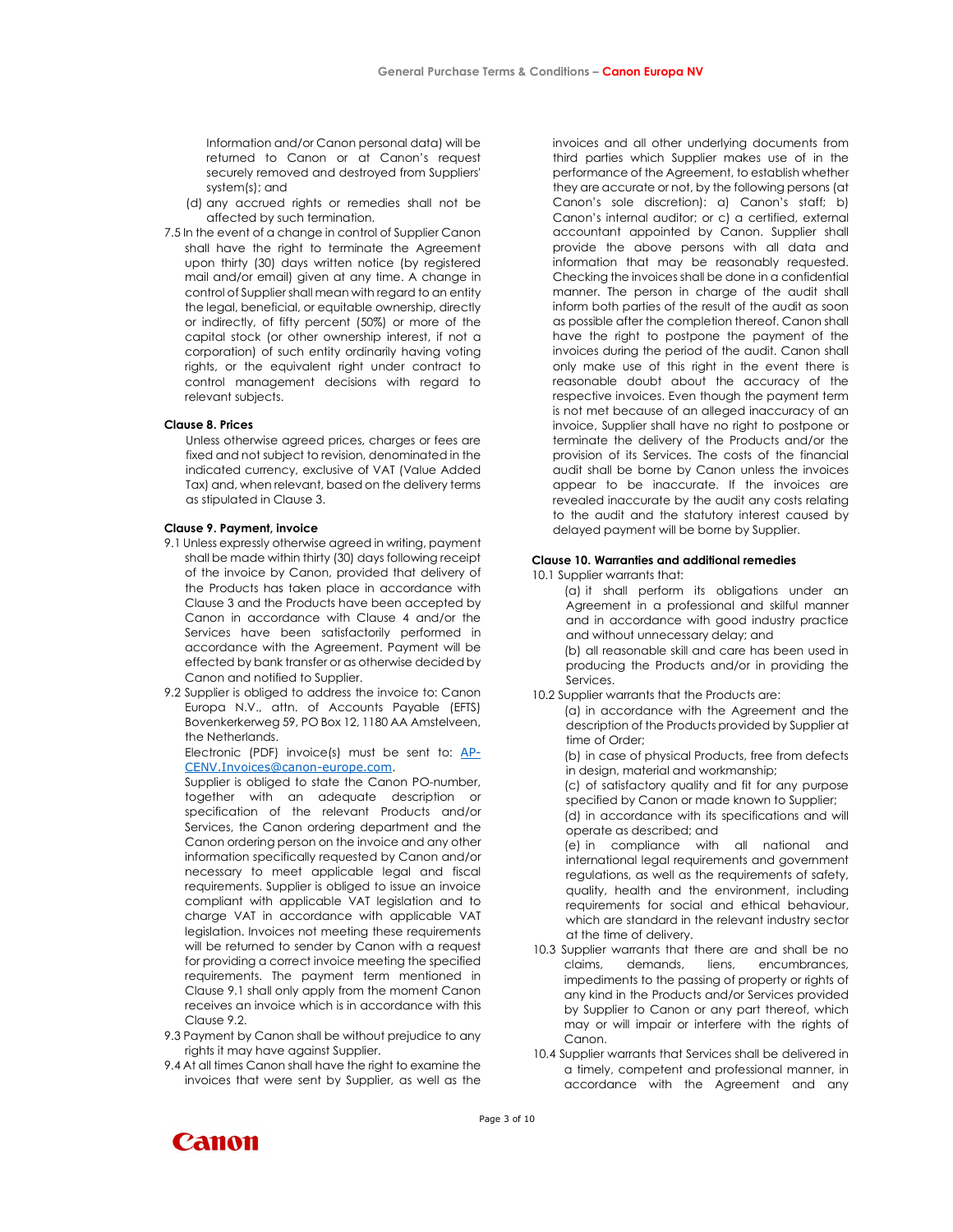Information and/or Canon personal data) will be returned to Canon or at Canon's request securely removed and destroyed from Suppliers' system(s); and

- (d) any accrued rights or remedies shall not be affected by such termination.
- 7.5 In the event of a change in control of Supplier Canon shall have the right to terminate the Agreement upon thirty (30) days written notice (by registered mail and/or email) given at any time. A change in control of Supplier shall mean with regard to an entity the legal, beneficial, or equitable ownership, directly or indirectly, of fifty percent (50%) or more of the capital stock (or other ownership interest, if not a corporation) of such entity ordinarily having voting rights, or the equivalent right under contract to control management decisions with regard to relevant subjects.

# Clause 8. Prices

Unless otherwise agreed prices, charges or fees are fixed and not subject to revision, denominated in the indicated currency, exclusive of VAT (Value Added Tax) and, when relevant, based on the delivery terms as stipulated in Clause 3.

#### Clause 9. Payment, invoice

- 9.1 Unless expressly otherwise agreed in writing, payment shall be made within thirty (30) days following receipt of the invoice by Canon, provided that delivery of the Products has taken place in accordance with Clause 3 and the Products have been accepted by Canon in accordance with Clause 4 and/or the Services have been satisfactorily performed in accordance with the Agreement. Payment will be effected by bank transfer or as otherwise decided by Canon and notified to Supplier.
- 9.2 Supplier is obliged to address the invoice to: Canon Europa N.V., attn. of Accounts Payable (EFTS) Bovenkerkerweg 59, PO Box 12, 1180 AA Amstelveen, the Netherlands.

Electronic (PDF) invoice(s) must be sent to: AP-CENV.Invoices@canon-europe.com.

Supplier is obliged to state the Canon PO-number, together with an adequate description or specification of the relevant Products and/or Services, the Canon ordering department and the Canon ordering person on the invoice and any other information specifically requested by Canon and/or necessary to meet applicable legal and fiscal requirements. Supplier is obliged to issue an invoice compliant with applicable VAT legislation and to charge VAT in accordance with applicable VAT legislation. Invoices not meeting these requirements will be returned to sender by Canon with a request for providing a correct invoice meeting the specified requirements. The payment term mentioned in Clause 9.1 shall only apply from the moment Canon receives an invoice which is in accordance with this Clause 9.2.

- 9.3 Payment by Canon shall be without prejudice to any rights it may have against Supplier.
- 9.4 At all times Canon shall have the right to examine the invoices that were sent by Supplier, as well as the

invoices and all other underlying documents from third parties which Supplier makes use of in the performance of the Agreement, to establish whether they are accurate or not, by the following persons (at Canon's sole discretion): a) Canon's staff; b) Canon's internal auditor; or c) a certified, external accountant appointed by Canon. Supplier shall provide the above persons with all data and information that may be reasonably requested. Checking the invoices shall be done in a confidential manner. The person in charge of the audit shall inform both parties of the result of the audit as soon as possible after the completion thereof. Canon shall have the right to postpone the payment of the invoices during the period of the audit. Canon shall only make use of this right in the event there is reasonable doubt about the accuracy of the respective invoices. Even though the payment term is not met because of an alleged inaccuracy of an invoice, Supplier shall have no right to postpone or terminate the delivery of the Products and/or the provision of its Services. The costs of the financial audit shall be borne by Canon unless the invoices appear to be inaccurate. If the invoices are revealed inaccurate by the audit any costs relating to the audit and the statutory interest caused by delayed payment will be borne by Supplier.

#### Clause 10. Warranties and additional remedies

10.1 Supplier warrants that:

(a) it shall perform its obligations under an Agreement in a professional and skilful manner and in accordance with good industry practice and without unnecessary delay; and

(b) all reasonable skill and care has been used in producing the Products and/or in providing the Services.

10.2 Supplier warrants that the Products are:

(a) in accordance with the Agreement and the description of the Products provided by Supplier at time of Order;

(b) in case of physical Products, free from defects in design, material and workmanship;

(c) of satisfactory quality and fit for any purpose specified by Canon or made known to Supplier;

(d) in accordance with its specifications and will operate as described; and

(e) in compliance with all national and international legal requirements and government regulations, as well as the requirements of safety, quality, health and the environment, including requirements for social and ethical behaviour, which are standard in the relevant industry sector at the time of delivery.

- 10.3 Supplier warrants that there are and shall be no claims, demands, liens, encumbrances, impediments to the passing of property or rights of any kind in the Products and/or Services provided by Supplier to Canon or any part thereof, which may or will impair or interfere with the rights of Canon.
- 10.4 Supplier warrants that Services shall be delivered in a timely, competent and professional manner, in accordance with the Agreement and any

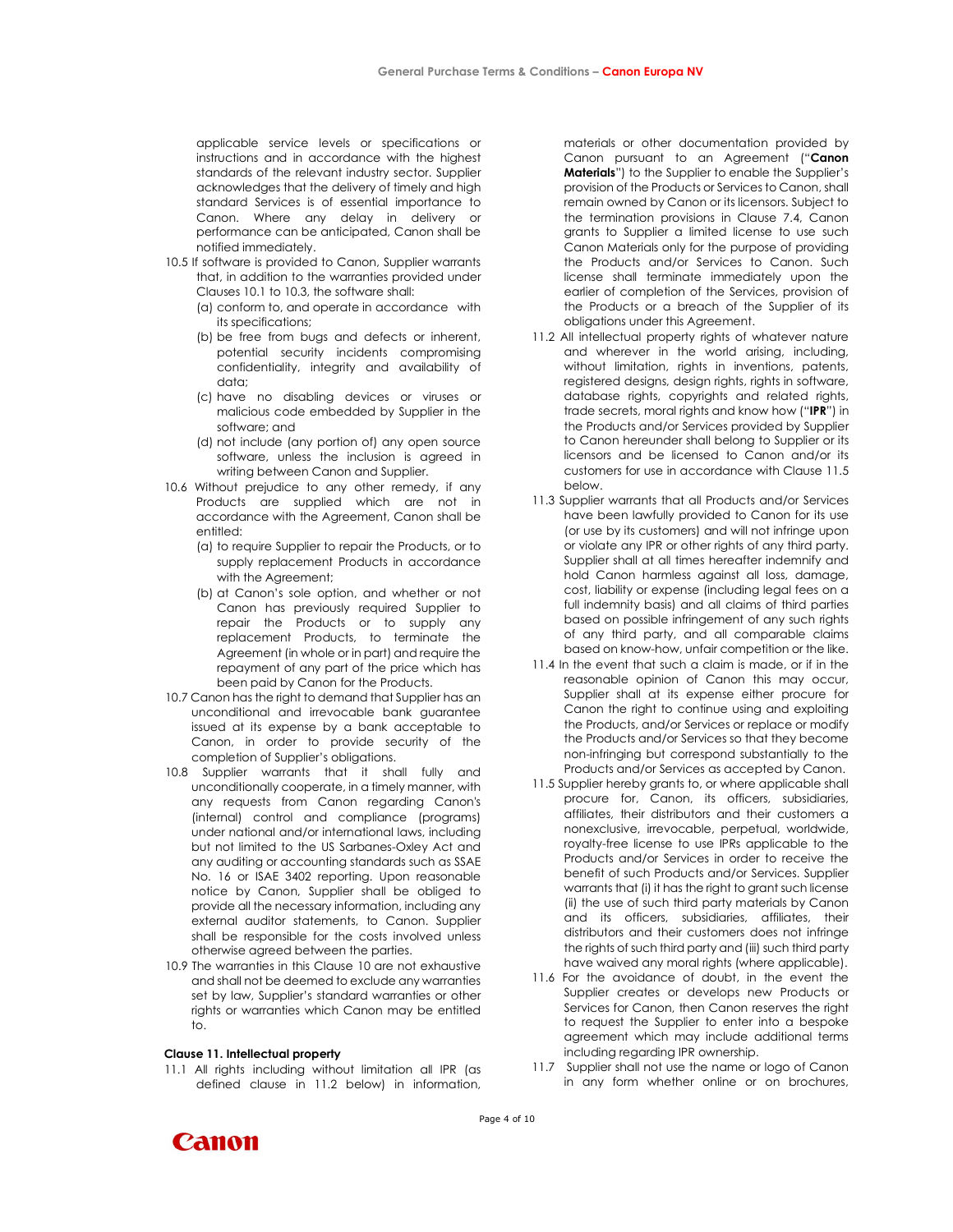applicable service levels or specifications or instructions and in accordance with the highest standards of the relevant industry sector. Supplier acknowledges that the delivery of timely and high standard Services is of essential importance to Canon. Where any delay in delivery or performance can be anticipated, Canon shall be notified immediately.

- 10.5 If software is provided to Canon, Supplier warrants that, in addition to the warranties provided under Clauses 10.1 to 10.3, the software shall:
	- (a) conform to, and operate in accordance with its specifications;
	- (b) be free from bugs and defects or inherent, potential security incidents compromising confidentiality, integrity and availability of data;
	- (c) have no disabling devices or viruses or malicious code embedded by Supplier in the software; and
	- (d) not include (any portion of) any open source software, unless the inclusion is agreed in writing between Canon and Supplier.
- 10.6 Without prejudice to any other remedy, if any Products are supplied which are not in accordance with the Agreement, Canon shall be entitled:
	- (a) to require Supplier to repair the Products, or to supply replacement Products in accordance with the Agreement;
	- (b) at Canon's sole option, and whether or not Canon has previously required Supplier to repair the Products or to supply any replacement Products, to terminate the Agreement (in whole or in part) and require the repayment of any part of the price which has been paid by Canon for the Products.
- 10.7 Canon has the right to demand that Supplier has an unconditional and irrevocable bank guarantee issued at its expense by a bank acceptable to Canon, in order to provide security of the completion of Supplier's obligations.
- 10.8 Supplier warrants that it shall fully and unconditionally cooperate, in a timely manner, with any requests from Canon regarding Canon's (internal) control and compliance (programs) under national and/or international laws, including but not limited to the US Sarbanes-Oxley Act and any auditing or accounting standards such as SSAE No. 16 or ISAE 3402 reporting. Upon reasonable notice by Canon, Supplier shall be obliged to provide all the necessary information, including any external auditor statements, to Canon. Supplier shall be responsible for the costs involved unless otherwise agreed between the parties.
- 10.9 The warranties in this Clause 10 are not exhaustive and shall not be deemed to exclude any warranties set by law, Supplier's standard warranties or other rights or warranties which Canon may be entitled to.

#### Clause 11. Intellectual property

**Canon** 

11.1 All rights including without limitation all IPR (as defined clause in 11.2 below) in information,

materials or other documentation provided by Canon pursuant to an Agreement ("Canon Materials") to the Supplier to enable the Supplier's provision of the Products or Services to Canon, shall remain owned by Canon or its licensors. Subject to the termination provisions in Clause 7.4, Canon grants to Supplier a limited license to use such Canon Materials only for the purpose of providing the Products and/or Services to Canon. Such license shall terminate immediately upon the earlier of completion of the Services, provision of the Products or a breach of the Supplier of its obligations under this Agreement.

- 11.2 All intellectual property rights of whatever nature and wherever in the world arising, including, without limitation, rights in inventions, patents, registered designs, design rights, rights in software, database rights, copyrights and related rights, trade secrets, moral rights and know how ("IPR") in the Products and/or Services provided by Supplier to Canon hereunder shall belong to Supplier or its licensors and be licensed to Canon and/or its customers for use in accordance with Clause 11.5 below.
- 11.3 Supplier warrants that all Products and/or Services have been lawfully provided to Canon for its use (or use by its customers) and will not infringe upon or violate any IPR or other rights of any third party. Supplier shall at all times hereafter indemnify and hold Canon harmless against all loss, damage, cost, liability or expense (including legal fees on a full indemnity basis) and all claims of third parties based on possible infringement of any such rights of any third party, and all comparable claims based on know-how, unfair competition or the like.
- 11.4 In the event that such a claim is made, or if in the reasonable opinion of Canon this may occur, Supplier shall at its expense either procure for Canon the right to continue using and exploiting the Products, and/or Services or replace or modify the Products and/or Services so that they become non-infringing but correspond substantially to the Products and/or Services as accepted by Canon.
- 11.5 Supplier hereby grants to, or where applicable shall procure for, Canon, its officers, subsidiaries, affiliates, their distributors and their customers a nonexclusive, irrevocable, perpetual, worldwide, royalty-free license to use IPRs applicable to the Products and/or Services in order to receive the benefit of such Products and/or Services. Supplier warrants that (i) it has the right to grant such license (ii) the use of such third party materials by Canon and its officers, subsidiaries, affiliates, their distributors and their customers does not infringe the rights of such third party and (iii) such third party have waived any moral rights (where applicable).
- 11.6 For the avoidance of doubt, in the event the Supplier creates or develops new Products or Services for Canon, then Canon reserves the right to request the Supplier to enter into a bespoke agreement which may include additional terms including regarding IPR ownership.
- 11.7 Supplier shall not use the name or logo of Canon in any form whether online or on brochures,

Page 4 of 10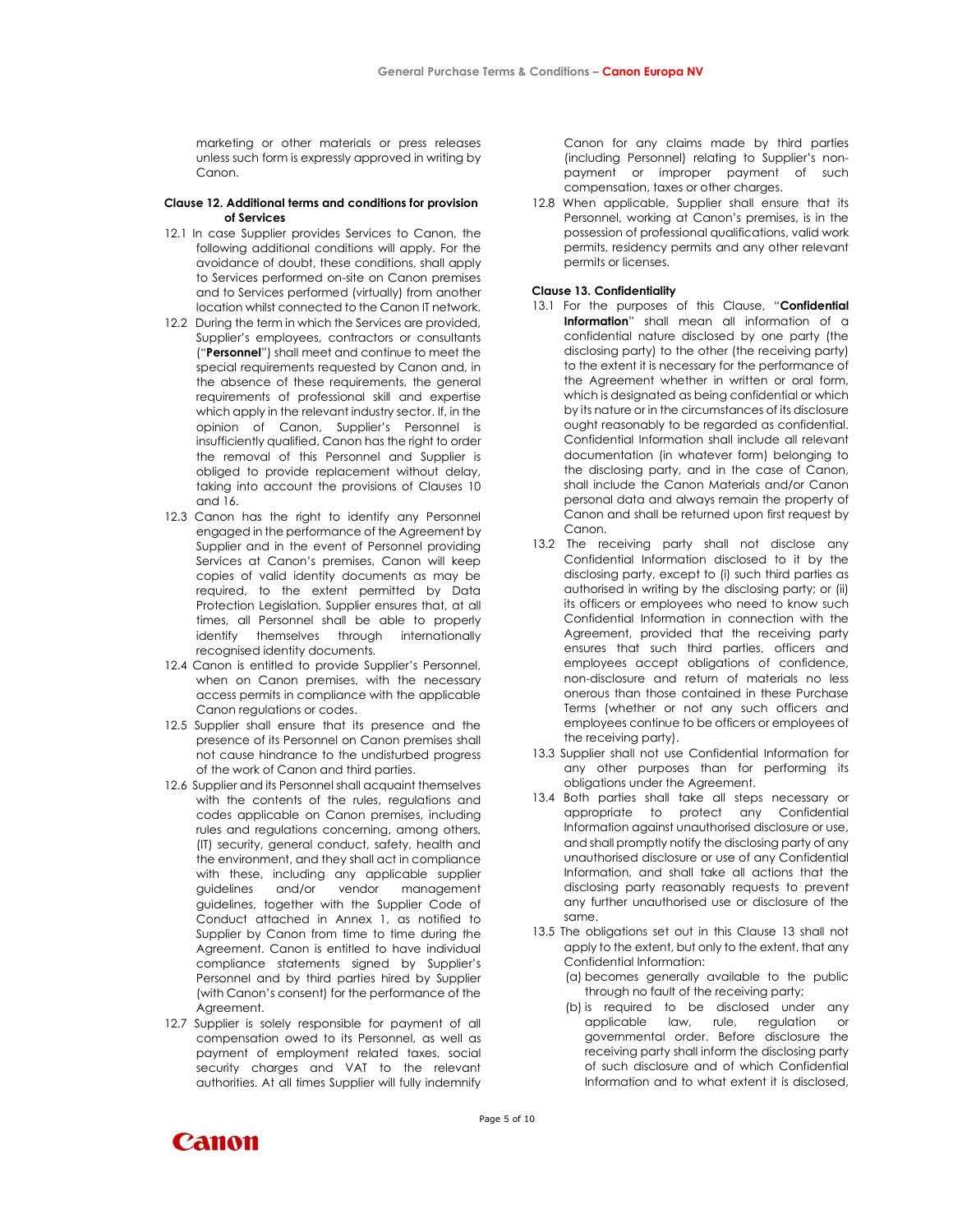marketing or other materials or press releases unless such form is expressly approved in writing by Canon.

# Clause 12. Additional terms and conditions for provision of Services

- 12.1 In case Supplier provides Services to Canon, the following additional conditions will apply. For the avoidance of doubt, these conditions, shall apply to Services performed on-site on Canon premises and to Services performed (virtually) from another location whilst connected to the Canon IT network.
- 12.2 During the term in which the Services are provided, Supplier's employees, contractors or consultants ("Personnel") shall meet and continue to meet the special requirements requested by Canon and, in the absence of these requirements, the general requirements of professional skill and expertise which apply in the relevant industry sector. If, in the opinion of Canon, Supplier's Personnel is insufficiently qualified, Canon has the right to order the removal of this Personnel and Supplier is obliged to provide replacement without delay, taking into account the provisions of Clauses 10 and 16.
- 12.3 Canon has the right to identify any Personnel engaged in the performance of the Agreement by Supplier and in the event of Personnel providing Services at Canon's premises, Canon will keep copies of valid identity documents as may be required, to the extent permitted by Data Protection Legislation. Supplier ensures that, at all times, all Personnel shall be able to properly identify themselves through internationally recognised identity documents.
- 12.4 Canon is entitled to provide Supplier's Personnel, when on Canon premises, with the necessary access permits in compliance with the applicable Canon regulations or codes.
- 12.5 Supplier shall ensure that its presence and the presence of its Personnel on Canon premises shall not cause hindrance to the undisturbed progress of the work of Canon and third parties.
- 12.6 Supplier and its Personnel shall acquaint themselves with the contents of the rules, regulations and codes applicable on Canon premises, including rules and regulations concerning, among others, (IT) security, general conduct, safety, health and the environment, and they shall act in compliance with these, including any applicable supplier guidelines and/or vendor management guidelines, together with the Supplier Code of Conduct attached in Annex 1, as notified to Supplier by Canon from time to time during the Agreement. Canon is entitled to have individual compliance statements signed by Supplier's Personnel and by third parties hired by Supplier (with Canon's consent) for the performance of the Agreement.
- 12.7 Supplier is solely responsible for payment of all compensation owed to its Personnel, as well as payment of employment related taxes, social security charges and VAT to the relevant authorities. At all times Supplier will fully indemnify

Canon for any claims made by third parties (including Personnel) relating to Supplier's nonpayment or improper payment of such compensation, taxes or other charges.

12.8 When applicable, Supplier shall ensure that its Personnel, working at Canon's premises, is in the possession of professional qualifications, valid work permits, residency permits and any other relevant permits or licenses.

# Clause 13. Confidentiality

- 13.1 For the purposes of this Clause, "Confidential Information" shall mean all information of a confidential nature disclosed by one party (the disclosing party) to the other (the receiving party) to the extent it is necessary for the performance of the Agreement whether in written or oral form, which is designated as being confidential or which by its nature or in the circumstances of its disclosure ought reasonably to be regarded as confidential. Confidential Information shall include all relevant documentation (in whatever form) belonging to the disclosing party, and in the case of Canon, shall include the Canon Materials and/or Canon personal data and always remain the property of Canon and shall be returned upon first request by Canon.
- 13.2 The receiving party shall not disclose any Confidential Information disclosed to it by the disclosing party, except to (i) such third parties as authorised in writing by the disclosing party; or (ii) its officers or employees who need to know such Confidential Information in connection with the Agreement, provided that the receiving party ensures that such third parties, officers and employees accept obligations of confidence, non-disclosure and return of materials no less onerous than those contained in these Purchase Terms (whether or not any such officers and employees continue to be officers or employees of the receiving party).
- 13.3 Supplier shall not use Confidential Information for any other purposes than for performing its obligations under the Agreement.
- 13.4 Both parties shall take all steps necessary or appropriate to protect any Confidential Information against unauthorised disclosure or use, and shall promptly notify the disclosing party of any unauthorised disclosure or use of any Confidential Information, and shall take all actions that the disclosing party reasonably requests to prevent any further unauthorised use or disclosure of the same.
- 13.5 The obligations set out in this Clause 13 shall not apply to the extent, but only to the extent, that any Confidential Information:
	- (a) becomes generally available to the public through no fault of the receiving party;
	- (b) is required to be disclosed under any applicable law, rule, regulation or governmental order. Before disclosure the receiving party shall inform the disclosing party of such disclosure and of which Confidential Information and to what extent it is disclosed,



Page 5 of 10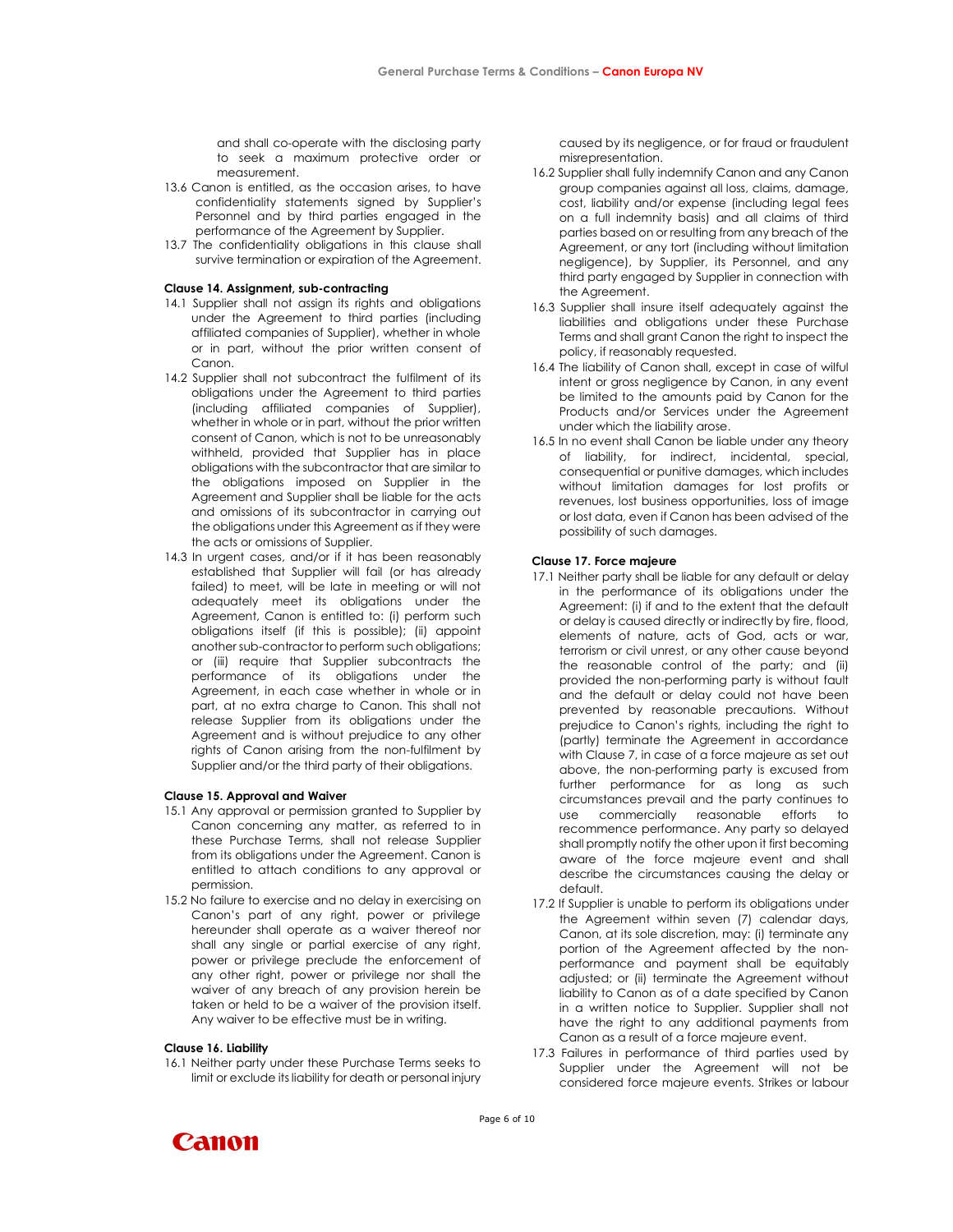and shall co-operate with the disclosing party to seek a maximum protective order or measurement.

- 13.6 Canon is entitled, as the occasion arises, to have confidentiality statements signed by Supplier's Personnel and by third parties engaged in the performance of the Agreement by Supplier.
- 13.7 The confidentiality obligations in this clause shall survive termination or expiration of the Agreement.

## Clause 14. Assignment, sub-contracting

- 14.1 Supplier shall not assign its rights and obligations under the Agreement to third parties (including affiliated companies of Supplier), whether in whole or in part, without the prior written consent of Canon.
- 14.2 Supplier shall not subcontract the fulfilment of its obligations under the Agreement to third parties (including affiliated companies of Supplier), whether in whole or in part, without the prior written consent of Canon, which is not to be unreasonably withheld, provided that Supplier has in place obligations with the subcontractor that are similar to the obligations imposed on Supplier in the Agreement and Supplier shall be liable for the acts and omissions of its subcontractor in carrying out the obligations under this Agreement as if they were the acts or omissions of Supplier.
- 14.3 In urgent cases, and/or if it has been reasonably established that Supplier will fail (or has already failed) to meet, will be late in meeting or will not adequately meet its obligations under the Agreement, Canon is entitled to: (i) perform such obligations itself (if this is possible); (ii) appoint another sub-contractor to perform such obligations; or (iii) require that Supplier subcontracts the performance of its obligations under the Agreement, in each case whether in whole or in part, at no extra charge to Canon. This shall not release Supplier from its obligations under the Agreement and is without prejudice to any other rights of Canon arising from the non-fulfilment by Supplier and/or the third party of their obligations.

## Clause 15. Approval and Waiver

- 15.1 Any approval or permission granted to Supplier by Canon concerning any matter, as referred to in these Purchase Terms, shall not release Supplier from its obligations under the Agreement. Canon is entitled to attach conditions to any approval or permission.
- 15.2 No failure to exercise and no delay in exercising on Canon's part of any right, power or privilege hereunder shall operate as a waiver thereof nor shall any single or partial exercise of any right, power or privilege preclude the enforcement of any other right, power or privilege nor shall the waiver of any breach of any provision herein be taken or held to be a waiver of the provision itself. Any waiver to be effective must be in writing.

#### Clause 16. Liability

16.1 Neither party under these Purchase Terms seeks to limit or exclude its liability for death or personal injury

caused by its negligence, or for fraud or fraudulent misrepresentation.

- 16.2 Supplier shall fully indemnify Canon and any Canon group companies against all loss, claims, damage, cost, liability and/or expense (including legal fees on a full indemnity basis) and all claims of third parties based on or resulting from any breach of the Agreement, or any tort (including without limitation negligence), by Supplier, its Personnel, and any third party engaged by Supplier in connection with the Agreement.
- 16.3 Supplier shall insure itself adequately against the liabilities and obligations under these Purchase Terms and shall grant Canon the right to inspect the policy, if reasonably requested.
- 16.4 The liability of Canon shall, except in case of wilful intent or gross negligence by Canon, in any event be limited to the amounts paid by Canon for the Products and/or Services under the Agreement under which the liability arose.
- 16.5 In no event shall Canon be liable under any theory of liability, for indirect, incidental, special, consequential or punitive damages, which includes without limitation damages for lost profits or revenues, lost business opportunities, loss of image or lost data, even if Canon has been advised of the possibility of such damages.

## Clause 17. Force majeure

- 17.1 Neither party shall be liable for any default or delay in the performance of its obligations under the Agreement: (i) if and to the extent that the default or delay is caused directly or indirectly by fire, flood, elements of nature, acts of God, acts or war, terrorism or civil unrest, or any other cause beyond the reasonable control of the party; and (ii) provided the non-performing party is without fault and the default or delay could not have been prevented by reasonable precautions. Without prejudice to Canon's rights, including the right to (partly) terminate the Agreement in accordance with Clause 7, in case of a force majeure as set out above, the non-performing party is excused from further performance for as long as such circumstances prevail and the party continues to use commercially reasonable efforts to recommence performance. Any party so delayed shall promptly notify the other upon it first becoming aware of the force majeure event and shall describe the circumstances causing the delay or default.
- 17.2 If Supplier is unable to perform its obligations under the Agreement within seven (7) calendar days, Canon, at its sole discretion, may: (i) terminate any portion of the Agreement affected by the nonperformance and payment shall be equitably adjusted; or (ii) terminate the Agreement without liability to Canon as of a date specified by Canon in a written notice to Supplier. Supplier shall not have the right to any additional payments from Canon as a result of a force majeure event.
- 17.3 Failures in performance of third parties used by Supplier under the Agreement will not be considered force majeure events. Strikes or labour

**Canon** 

Page 6 of 10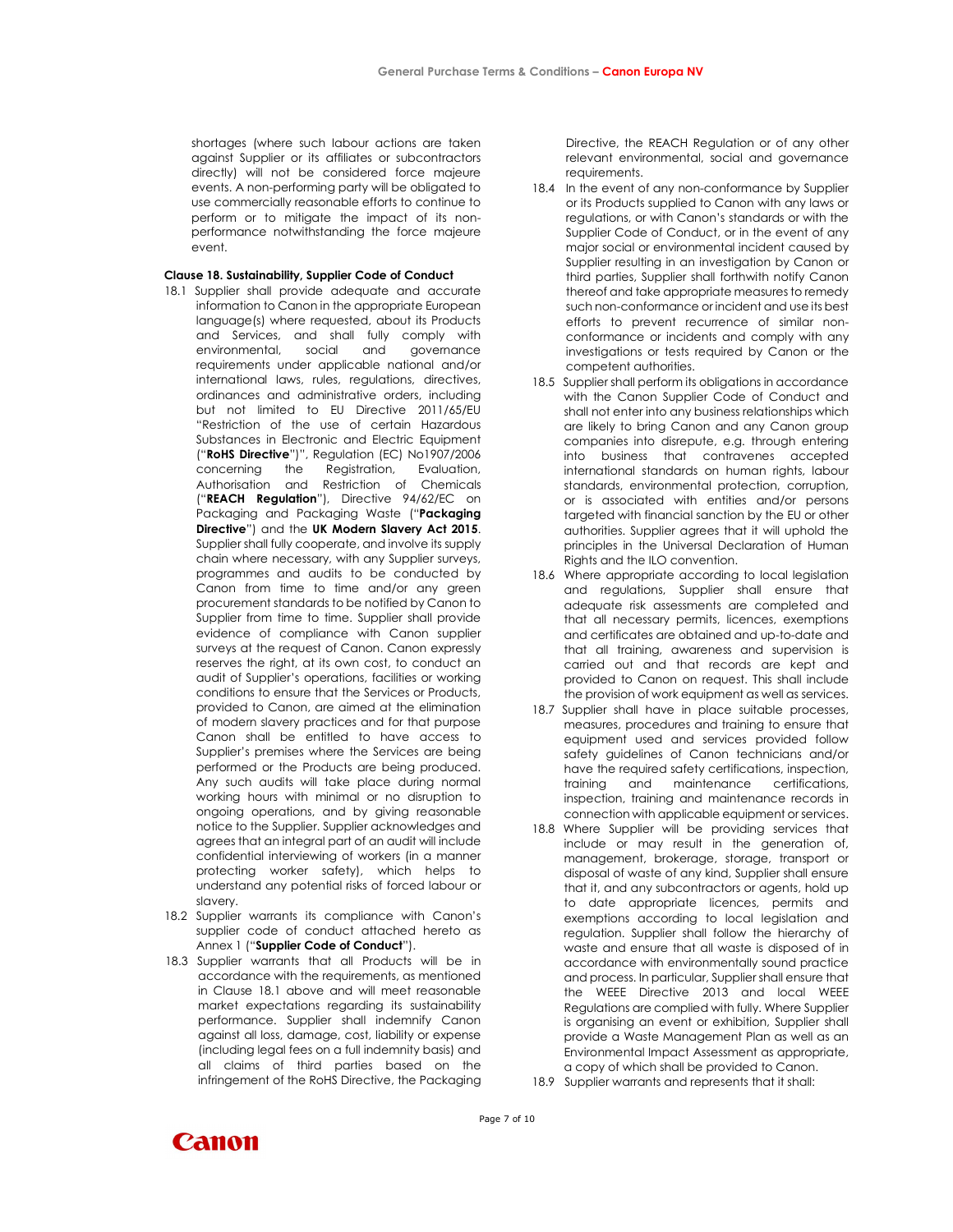shortages (where such labour actions are taken against Supplier or its affiliates or subcontractors directly) will not be considered force majeure events. A non-performing party will be obligated to use commercially reasonable efforts to continue to perform or to mitigate the impact of its nonperformance notwithstanding the force majeure event.

# Clause 18. Sustainability, Supplier Code of Conduct

- 18.1 Supplier shall provide adequate and accurate information to Canon in the appropriate European language(s) where requested, about its Products and Services, and shall fully comply with environmental, social and governance requirements under applicable national and/or international laws, rules, regulations, directives, ordinances and administrative orders, including but not limited to EU Directive 2011/65/EU "Restriction of the use of certain Hazardous Substances in Electronic and Electric Equipment ("RoHS Directive")", Regulation (EC) No1907/2006 concerning the Registration, Evaluation, Authorisation and Restriction of Chemicals ("REACH Regulation"), Directive 94/62/EC on Packaging and Packaging Waste ("Packaging Directive") and the UK Modern Slavery Act 2015. Supplier shall fully cooperate, and involve its supply chain where necessary, with any Supplier surveys, programmes and audits to be conducted by Canon from time to time and/or any green procurement standards to be notified by Canon to Supplier from time to time. Supplier shall provide evidence of compliance with Canon supplier surveys at the request of Canon. Canon expressly reserves the right, at its own cost, to conduct an audit of Supplier's operations, facilities or working conditions to ensure that the Services or Products, provided to Canon, are aimed at the elimination of modern slavery practices and for that purpose Canon shall be entitled to have access to Supplier's premises where the Services are being performed or the Products are being produced. Any such audits will take place during normal working hours with minimal or no disruption to ongoing operations, and by giving reasonable notice to the Supplier. Supplier acknowledges and agrees that an integral part of an audit will include confidential interviewing of workers (in a manner protecting worker safety), which helps to understand any potential risks of forced labour or slavery.
- 18.2 Supplier warrants its compliance with Canon's supplier code of conduct attached hereto as Annex 1 ("Supplier Code of Conduct").
- 18.3 Supplier warrants that all Products will be in accordance with the requirements, as mentioned in Clause 18.1 above and will meet reasonable market expectations regarding its sustainability performance. Supplier shall indemnify Canon against all loss, damage, cost, liability or expense (including legal fees on a full indemnity basis) and all claims of third parties based on the infringement of the RoHS Directive, the Packaging

Directive, the REACH Regulation or of any other relevant environmental, social and governance requirements.

- 18.4 In the event of any non-conformance by Supplier or its Products supplied to Canon with any laws or regulations, or with Canon's standards or with the Supplier Code of Conduct, or in the event of any major social or environmental incident caused by Supplier resulting in an investigation by Canon or third parties, Supplier shall forthwith notify Canon thereof and take appropriate measures to remedy such non-conformance or incident and use its best efforts to prevent recurrence of similar nonconformance or incidents and comply with any investigations or tests required by Canon or the competent authorities.
- 18.5 Supplier shall perform its obligations in accordance with the Canon Supplier Code of Conduct and shall not enter into any business relationships which are likely to bring Canon and any Canon group companies into disrepute, e.g. through entering into business that contravenes accepted international standards on human rights, labour standards, environmental protection, corruption, or is associated with entities and/or persons targeted with financial sanction by the EU or other authorities. Supplier agrees that it will uphold the principles in the Universal Declaration of Human Rights and the ILO convention.
- 18.6 Where appropriate according to local legislation and regulations, Supplier shall ensure that adequate risk assessments are completed and that all necessary permits, licences, exemptions and certificates are obtained and up-to-date and that all training, awareness and supervision is carried out and that records are kept and provided to Canon on request. This shall include the provision of work equipment as well as services.
- 18.7 Supplier shall have in place suitable processes, measures, procedures and training to ensure that equipment used and services provided follow safety guidelines of Canon technicians and/or have the required safety certifications, inspection, training and maintenance certifications, inspection, training and maintenance records in connection with applicable equipment or services.
- 18.8 Where Supplier will be providing services that include or may result in the generation of, management, brokerage, storage, transport or disposal of waste of any kind, Supplier shall ensure that it, and any subcontractors or agents, hold up to date appropriate licences, permits and exemptions according to local legislation and regulation. Supplier shall follow the hierarchy of waste and ensure that all waste is disposed of in accordance with environmentally sound practice and process. In particular, Supplier shall ensure that the WEEE Directive 2013 and local WEEE Regulations are complied with fully. Where Supplier is organising an event or exhibition, Supplier shall provide a Waste Management Plan as well as an Environmental Impact Assessment as appropriate, a copy of which shall be provided to Canon.
- 18.9 Supplier warrants and represents that it shall:

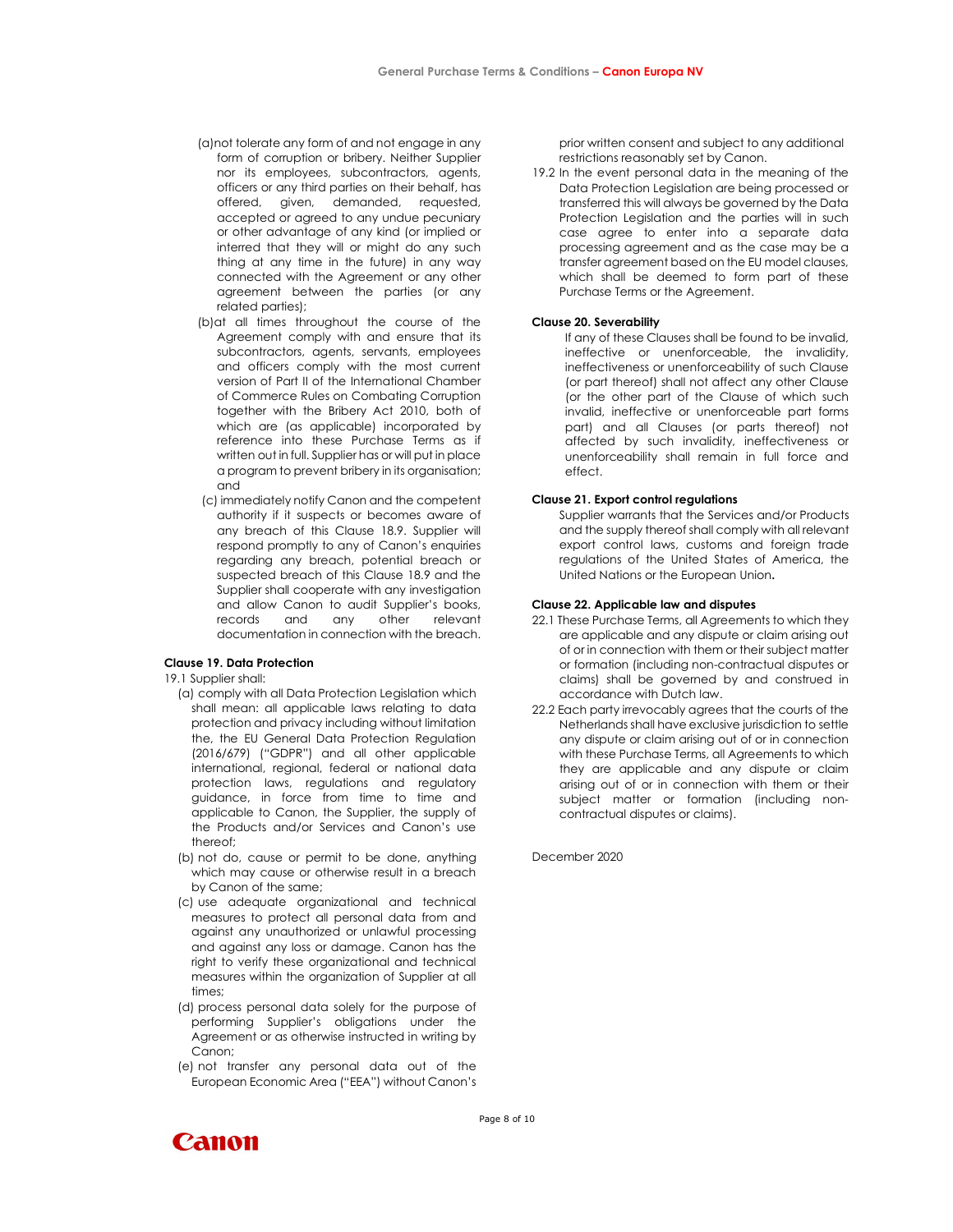- (a)not tolerate any form of and not engage in any form of corruption or bribery. Neither Supplier nor its employees, subcontractors, agents, officers or any third parties on their behalf, has offered, given, demanded, requested, accepted or agreed to any undue pecuniary or other advantage of any kind (or implied or interred that they will or might do any such thing at any time in the future) in any way connected with the Agreement or any other agreement between the parties (or any related parties);
- (b)at all times throughout the course of the Agreement comply with and ensure that its subcontractors, agents, servants, employees and officers comply with the most current version of Part II of the International Chamber of Commerce Rules on Combating Corruption together with the Bribery Act 2010, both of which are (as applicable) incorporated by reference into these Purchase Terms as if written out in full. Supplier has or will put in place a program to prevent bribery in its organisation; and
- (c) immediately notify Canon and the competent authority if it suspects or becomes aware of any breach of this Clause 18.9. Supplier will respond promptly to any of Canon's enquiries regarding any breach, potential breach or suspected breach of this Clause 18.9 and the Supplier shall cooperate with any investigation and allow Canon to audit Supplier's books, records and any other relevant documentation in connection with the breach.

# Clause 19. Data Protection

19.1 Supplier shall:

- (a) comply with all Data Protection Legislation which shall mean: all applicable laws relating to data protection and privacy including without limitation the, the EU General Data Protection Regulation (2016/679) ("GDPR") and all other applicable international, regional, federal or national data protection laws, regulations and regulatory guidance, in force from time to time and applicable to Canon, the Supplier, the supply of the Products and/or Services and Canon's use thereof;
- (b) not do, cause or permit to be done, anything which may cause or otherwise result in a breach by Canon of the same;
- (c) use adequate organizational and technical measures to protect all personal data from and against any unauthorized or unlawful processing and against any loss or damage. Canon has the right to verify these organizational and technical measures within the organization of Supplier at all times;
- (d) process personal data solely for the purpose of performing Supplier's obligations under the Agreement or as otherwise instructed in writing by Canon;
- (e) not transfer any personal data out of the European Economic Area ("EEA") without Canon's

prior written consent and subject to any additional restrictions reasonably set by Canon.

19.2 In the event personal data in the meaning of the Data Protection Legislation are being processed or transferred this will always be governed by the Data Protection Legislation and the parties will in such case agree to enter into a separate data processing agreement and as the case may be a transfer agreement based on the EU model clauses, which shall be deemed to form part of these Purchase Terms or the Agreement.

## Clause 20. Severability

If any of these Clauses shall be found to be invalid, ineffective or unenforceable, the invalidity, ineffectiveness or unenforceability of such Clause (or part thereof) shall not affect any other Clause (or the other part of the Clause of which such invalid, ineffective or unenforceable part forms part) and all Clauses (or parts thereof) not affected by such invalidity, ineffectiveness or unenforceability shall remain in full force and effect.

### Clause 21. Export control regulations

Supplier warrants that the Services and/or Products and the supply thereof shall comply with all relevant export control laws, customs and foreign trade regulations of the United States of America, the United Nations or the European Union.

# Clause 22. Applicable law and disputes

- 22.1 These Purchase Terms, all Agreements to which they are applicable and any dispute or claim arising out of or in connection with them or their subject matter or formation (including non-contractual disputes or claims) shall be governed by and construed in accordance with Dutch law.
- 22.2 Each party irrevocably agrees that the courts of the Netherlands shall have exclusive jurisdiction to settle any dispute or claim arising out of or in connection with these Purchase Terms, all Agreements to which they are applicable and any dispute or claim arising out of or in connection with them or their subject matter or formation (including noncontractual disputes or claims).

December 2020

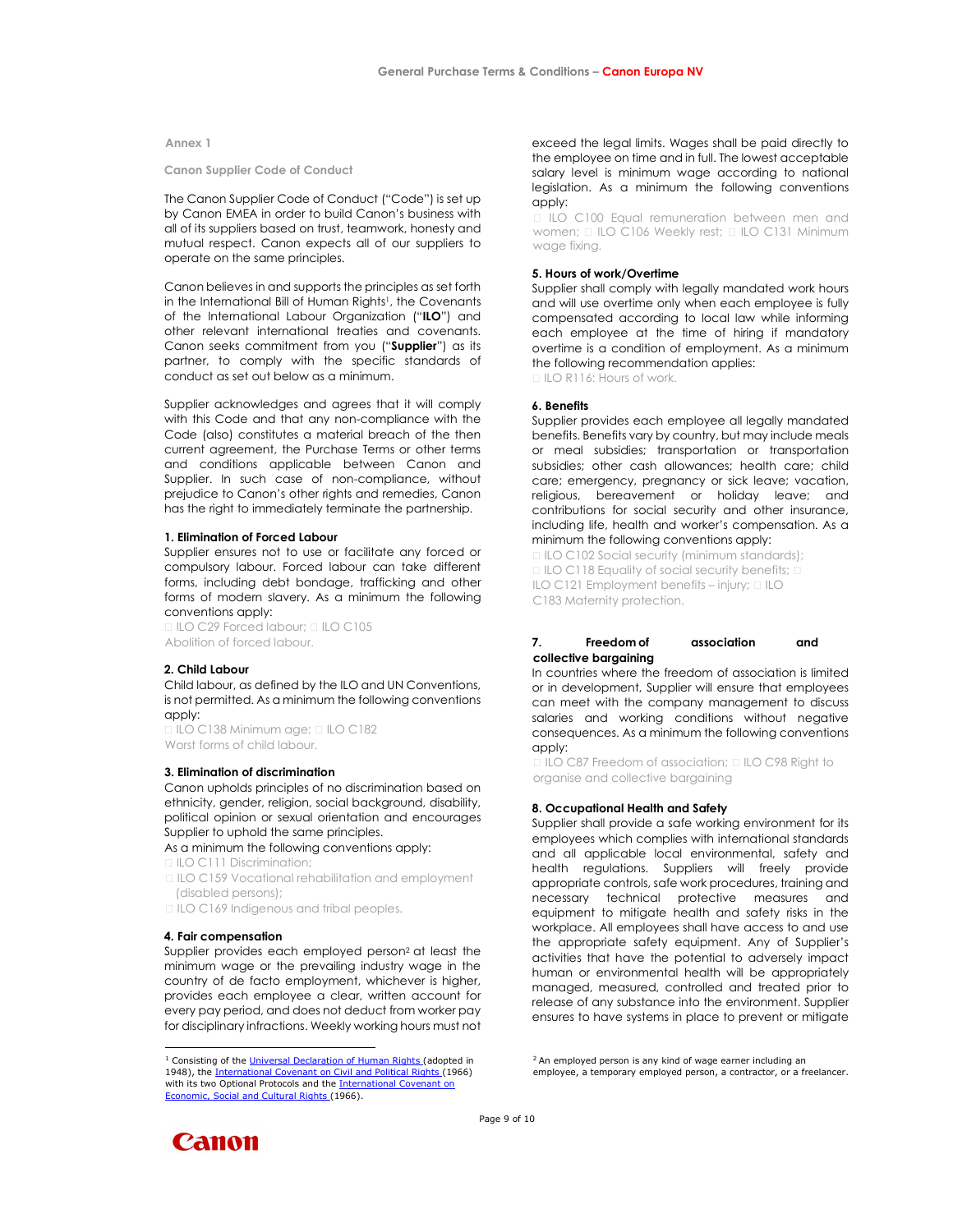### Annex 1

Canon Supplier Code of Conduct

The Canon Supplier Code of Conduct ("Code") is set up by Canon EMEA in order to build Canon's business with all of its suppliers based on trust, teamwork, honesty and mutual respect. Canon expects all of our suppliers to operate on the same principles.

Canon believes in and supports the principles as set forth in the International Bill of Human Rights<sup>1</sup>, the Covenants of the International Labour Organization ("ILO") and other relevant international treaties and covenants. Canon seeks commitment from you ("Supplier") as its partner, to comply with the specific standards of conduct as set out below as a minimum.

Supplier acknowledges and agrees that it will comply with this Code and that any non-compliance with the Code (also) constitutes a material breach of the then current agreement, the Purchase Terms or other terms and conditions applicable between Canon and Supplier. In such case of non-compliance, without prejudice to Canon's other rights and remedies, Canon has the right to immediately terminate the partnership.

## 1. Elimination of Forced Labour

Supplier ensures not to use or facilitate any forced or compulsory labour. Forced labour can take different forms, including debt bondage, trafficking and other forms of modern slavery. As a minimum the following conventions apply:

□ ILO C29 Forced labour; □ ILO C105 Abolition of forced labour.

## 2. Child Labour

Child labour, as defined by the ILO and UN Conventions, is not permitted. As a minimum the following conventions apply:

ILO C138 Minimum age; ILO C182 Worst forms of child labour.

## 3. Elimination of discrimination

Canon upholds principles of no discrimination based on ethnicity, gender, religion, social background, disability, political opinion or sexual orientation and encourages Supplier to uphold the same principles.

As a minimum the following conventions apply:

ILO C111 Discrimination;

□ ILO C159 Vocational rehabilitation and employment (disabled persons);

□ ILO C169 Indigenous and tribal peoples.

#### 4. Fair compensation

Supplier provides each employed person<sup>2</sup> at least the minimum wage or the prevailing industry wage in the country of de facto employment, whichever is higher, provides each employee a clear, written account for every pay period, and does not deduct from worker pay for disciplinary infractions. Weekly working hours must not

exceed the legal limits. Wages shall be paid directly to the employee on time and in full. The lowest acceptable salary level is minimum wage according to national legislation. As a minimum the following conventions apply:

ILO C100 Equal remuneration between men and women;  $\Box$  ILO C106 Weekly rest;  $\Box$  ILO C131 Minimum wage fixing.

## 5. Hours of work/Overtime

Supplier shall comply with legally mandated work hours and will use overtime only when each employee is fully compensated according to local law while informing each employee at the time of hiring if mandatory overtime is a condition of employment. As a minimum the following recommendation applies:

ILO R116: Hours of work.

#### 6. Benefits

Supplier provides each employee all legally mandated benefits. Benefits vary by country, but may include meals or meal subsidies; transportation or transportation subsidies; other cash allowances; health care; child care; emergency, pregnancy or sick leave; vacation, religious, bereavement or holiday leave; and contributions for social security and other insurance, including life, health and worker's compensation. As a minimum the following conventions apply:

□ ILO C102 Social security (minimum standards); □ ILO C118 Equality of social security benefits; □ ILO C121 Employment benefits – injury;  $\Box$  ILO C183 Maternity protection.

# 7. Freedom of association and collective bargaining

In countries where the freedom of association is limited or in development, Supplier will ensure that employees can meet with the company management to discuss salaries and working conditions without negative consequences. As a minimum the following conventions apply:

□ ILO C87 Freedom of association; □ ILO C98 Right to organise and collective bargaining

#### 8. Occupational Health and Safety

Page 9 of 10

Supplier shall provide a safe working environment for its employees which complies with international standards and all applicable local environmental, safety and health regulations. Suppliers will freely provide appropriate controls, safe work procedures, training and necessary technical protective measures and equipment to mitigate health and safety risks in the workplace. All employees shall have access to and use the appropriate safety equipment. Any of Supplier's activities that have the potential to adversely impact human or environmental health will be appropriately managed, measured, controlled and treated prior to release of any substance into the environment. Supplier ensures to have systems in place to prevent or mitigate

Canon

<sup>&</sup>lt;sup>1</sup> Consisting of the Universal Declaration of Human Rights (adopted in 1948), the International Covenant on Civil and Political Rights (1966) with its two Optional Protocols and the **International Covenant on** Economic, Social and Cultural Rights (1966).

<sup>&</sup>lt;sup>2</sup> An employed person is any kind of wage earner including an employee, a temporary employed person, a contractor, or a freelancer.